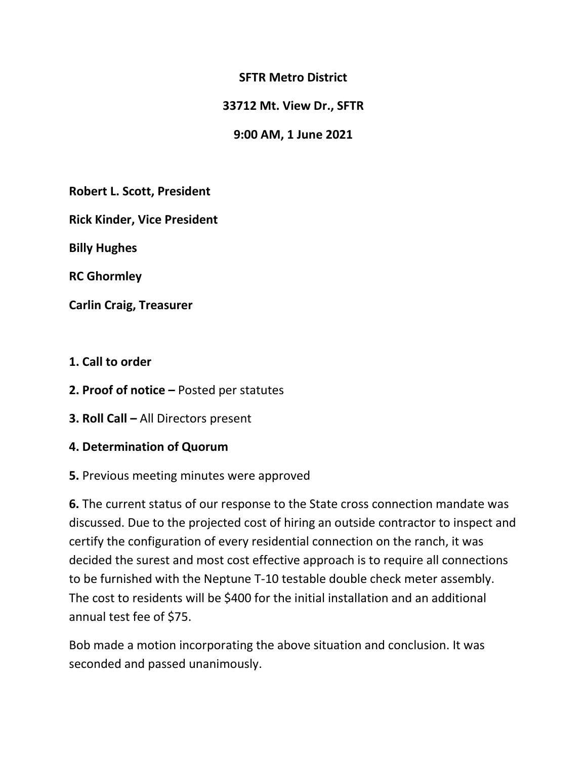## **SFTR Metro District**

### **33712 Mt. View Dr., SFTR**

## **9:00 AM, 1 June 2021**

**Robert L. Scott, President**

**Rick Kinder, Vice President**

**Billy Hughes**

**RC Ghormley**

**Carlin Craig, Treasurer**

- **1. Call to order**
- **2. Proof of notice –** Posted per statutes
- **3. Roll Call –** All Directors present
- **4. Determination of Quorum**
- **5.** Previous meeting minutes were approved

**6.** The current status of our response to the State cross connection mandate was discussed. Due to the projected cost of hiring an outside contractor to inspect and certify the configuration of every residential connection on the ranch, it was decided the surest and most cost effective approach is to require all connections to be furnished with the Neptune T-10 testable double check meter assembly. The cost to residents will be \$400 for the initial installation and an additional annual test fee of \$75.

Bob made a motion incorporating the above situation and conclusion. It was seconded and passed unanimously.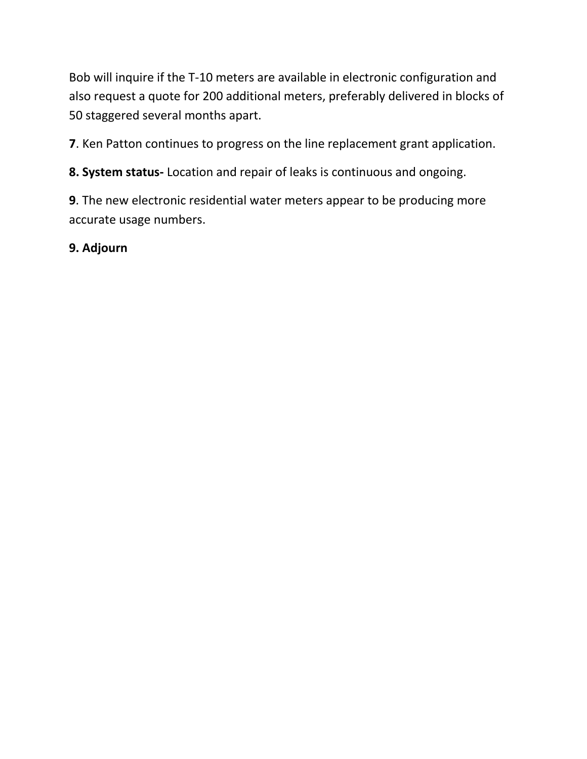Bob will inquire if the T-10 meters are available in electronic configuration and also request a quote for 200 additional meters, preferably delivered in blocks of 50 staggered several months apart.

**7**. Ken Patton continues to progress on the line replacement grant application.

**8. System status-** Location and repair of leaks is continuous and ongoing.

**9**. The new electronic residential water meters appear to be producing more accurate usage numbers.

**9. Adjourn**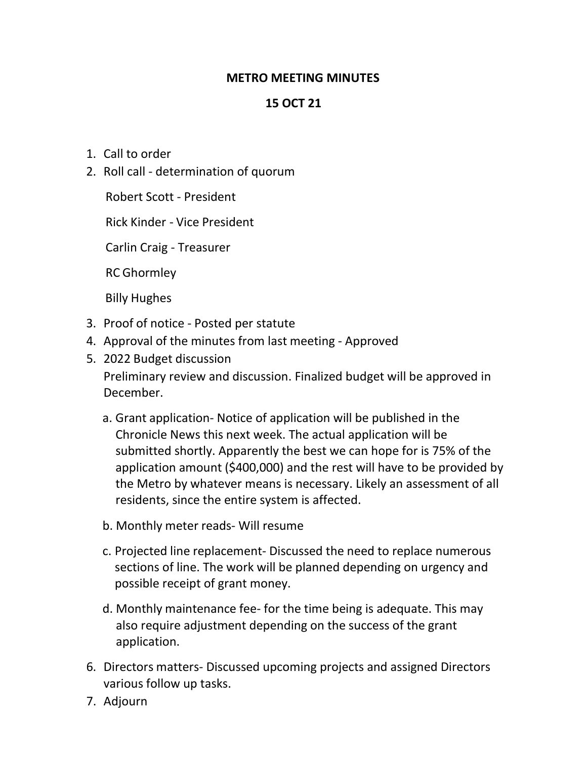## **METRO MEETING MINUTES**

# **15 OCT 21**

- 1. Call to order
- 2. Roll call determination of quorum

Robert Scott - President

Rick Kinder - Vice President

Carlin Craig - Treasurer

RC Ghormley

Billy Hughes

- 3. Proof of notice Posted per statute
- 4. Approval of the minutes from last meeting Approved
- 5. 2022 Budget discussion Preliminary review and discussion. Finalized budget will be approved in December.
	- a. Grant application- Notice of application will be published in the Chronicle News this next week. The actual application will be submitted shortly. Apparently the best we can hope for is 75% of the application amount (\$400,000) and the rest will have to be provided by the Metro by whatever means is necessary. Likely an assessment of all residents, since the entire system is affected.
	- b. Monthly meter reads- Will resume
	- c. Projected line replacement- Discussed the need to replace numerous sections of line. The work will be planned depending on urgency and possible receipt of grant money.
	- d. Monthly maintenance fee- for the time being is adequate. This may also require adjustment depending on the success of the grant application.
- 6. Directors matters- Discussed upcoming projects and assigned Directors various follow up tasks.
- 7. Adjourn